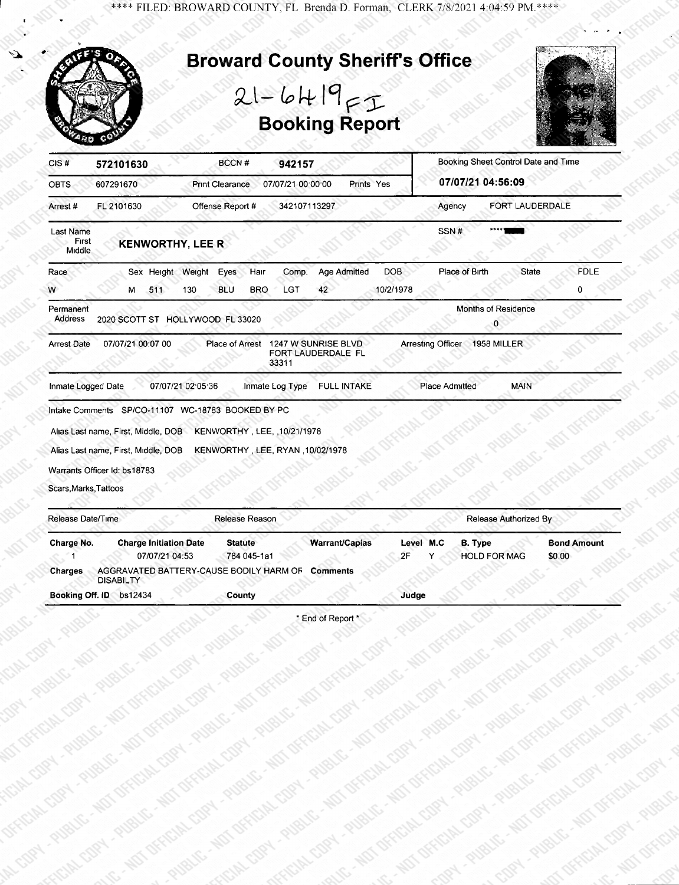\*\*\*\* FILED: BROWARD COUNTY, FL Brenda D. Forman, CLERK 7/8/2021 4:04:59 PM.\*\*\*\*



Booking Off. ID bs12434 County County County Judge

\* End of Report \*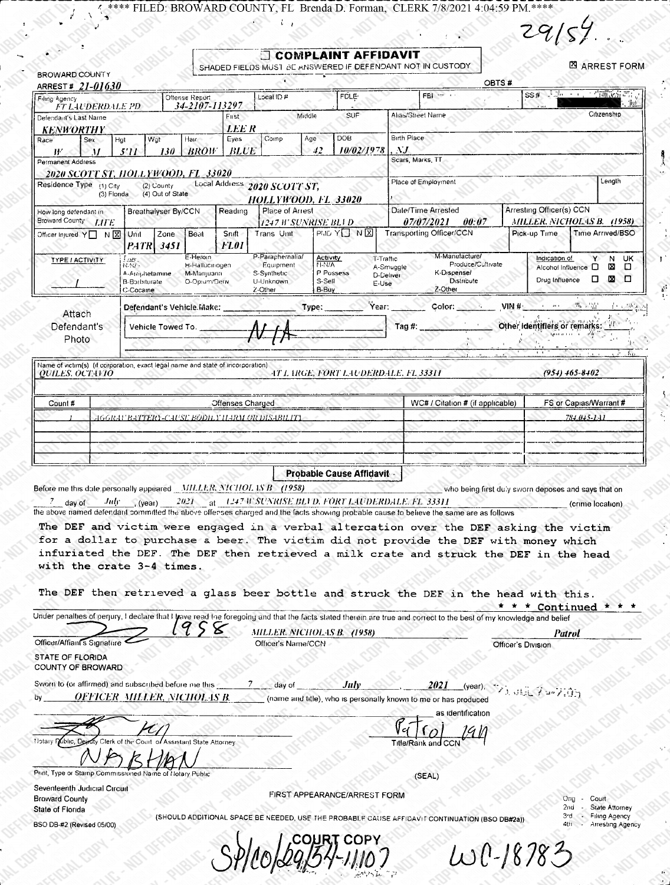ELED: BROWARD COUNTY, FL Brenda D. Forman, CLERK 7/8/2021 4:04:59 PM.\*\*\*\*

**ALCO** 

 $29/54$ 

e Super

| Filing Agency                                                                   | ARREST# 21-01630                               | Oftense Report              |                     | Local ID #                          | <b>FOLE:</b>                                            | FBI - 11                                                                                                                                                                                                                         |                                 | SS# 其 <u>为 - ( 《清政</u> 宗》                                  |
|---------------------------------------------------------------------------------|------------------------------------------------|-----------------------------|---------------------|-------------------------------------|---------------------------------------------------------|----------------------------------------------------------------------------------------------------------------------------------------------------------------------------------------------------------------------------------|---------------------------------|------------------------------------------------------------|
| <b>FT LAUDERDALE PD</b><br>Defendant's Last Name                                |                                                | 34-2107-113297              | First               | Middle                              | SUF                                                     | Alias/Street Name                                                                                                                                                                                                                |                                 | Citizenship                                                |
| <b>KENWORTHY</b>                                                                |                                                |                             | LEE R               |                                     |                                                         |                                                                                                                                                                                                                                  |                                 |                                                            |
| Sex<br>Race                                                                     | Wgt<br>Hgt                                     | Hair<br><b>BROW</b>         | Eyes<br><b>BLUE</b> | Comp                                | <b>DOB</b><br>Age<br>10/02/1978<br>42                   | <b>Birth Place</b><br>$\Delta J$                                                                                                                                                                                                 |                                 |                                                            |
| ₩<br>11<br>Permanent Address                                                    | 130<br>5'II                                    |                             |                     |                                     |                                                         | Scars, Marks, TT                                                                                                                                                                                                                 |                                 |                                                            |
| 2020 SCOTT ST, HOLLYWOOD, FL_33020                                              |                                                |                             |                     |                                     |                                                         | Place of Employment                                                                                                                                                                                                              |                                 | Length                                                     |
| Residence Type (1) City                                                         | (2) County<br>(4) Out of State<br>(3) Florida  |                             |                     | Local Address 2020 SCOTT ST,        | <b>HOLLYWOOD, FL 33020</b>                              |                                                                                                                                                                                                                                  |                                 |                                                            |
| How long defendant in                                                           | Breathalyser By/CCN                            |                             | Reading             | Place of Arrest                     |                                                         | Date/Time Arrested                                                                                                                                                                                                               | Arresting Officer(s) CCN        |                                                            |
| Broward County LIFE                                                             | Zone                                           | Beat                        | Snift               | 1247 H' SUNRISE BLI D<br>Trans Unit | PMD YO NE                                               | <i>07/07/2021</i><br>00:07<br>Transporting Officer/CCN                                                                                                                                                                           | Pick-up Time                    | MILLER. NICHOLAS B. (1958)<br>Time Arrived/BSO             |
| Officer Injured Y□ N  X Unit                                                    | <b>PATR</b> 3451                               |                             | FL01                |                                     |                                                         |                                                                                                                                                                                                                                  |                                 |                                                            |
| <b>TYPE / ACTIVITY</b>                                                          | i ur.<br>N.N/ -                                | E-Heroin<br>H-Hallucinogen  |                     | P-Paraphernalia/<br>Equipment       | Activity<br>T-Traffic<br>N.N/A                          | M-Manufacture/<br>Produce/Cultivate<br>A-Smuggle                                                                                                                                                                                 |                                 | Indication of<br>Y N UK<br>Alcohol Influence $\Box$<br>⊠ ⊡ |
|                                                                                 | A-Amphetamine<br><b>B-Barbiturate</b>          | M-Manjuana<br>O-Optum/Deriv |                     | S-Synthetic<br>U-Unknown            | P Possess<br>S-Sell<br>E-Use                            | K-Dispense/<br>D-Deliver<br>Distribute                                                                                                                                                                                           |                                 | Drug Influence $\Box$ $\boxtimes$ $\Box$                   |
|                                                                                 | C-Cocaine                                      |                             |                     | 2-Other                             | B-Buy                                                   | Z-Other                                                                                                                                                                                                                          |                                 |                                                            |
| Attach                                                                          | Defendant's Vehicle Make:                      |                             |                     |                                     | Type:                                                   | Year: Wear<br>Color: Color:                                                                                                                                                                                                      | ○ VIN # ○ ○ ○ ○ ○ ○ ○ 『ho ○ 写真』 |                                                            |
| Defendant's                                                                     | Vehicle Towed To.                              |                             |                     |                                     |                                                         | Tag #:                                                                                                                                                                                                                           |                                 | Other Identifiers or remarks:<br>sport of the Co.          |
| Photo                                                                           |                                                |                             |                     |                                     |                                                         |                                                                                                                                                                                                                                  |                                 |                                                            |
| Name of victim(s) (if corporation, exact legal name and state of incorporation) |                                                |                             |                     |                                     |                                                         |                                                                                                                                                                                                                                  |                                 |                                                            |
| <i><b>QUILES, OCTAVIO</b></i>                                                   |                                                |                             |                     |                                     | AT LARGE, FORT LAUDERDALE. FL 33311                     |                                                                                                                                                                                                                                  |                                 | $(954)$ 465-8402                                           |
|                                                                                 |                                                |                             |                     |                                     |                                                         |                                                                                                                                                                                                                                  |                                 |                                                            |
| Count #                                                                         |                                                |                             | Offenses Charged    |                                     |                                                         | WC# / Citation # (if applicable)                                                                                                                                                                                                 |                                 | FS or Capias/Warrant #                                     |
|                                                                                 | 4GGRAF BATTERY-CAUSE BODH Y HARM OR DISABILITY |                             |                     |                                     |                                                         |                                                                                                                                                                                                                                  |                                 | 784.045-1.41                                               |
|                                                                                 |                                                |                             |                     |                                     |                                                         |                                                                                                                                                                                                                                  |                                 |                                                            |
|                                                                                 |                                                |                             |                     |                                     |                                                         |                                                                                                                                                                                                                                  |                                 |                                                            |
|                                                                                 |                                                |                             |                     |                                     |                                                         |                                                                                                                                                                                                                                  |                                 |                                                            |
|                                                                                 |                                                |                             |                     |                                     | Probable Cause Affidavit -                              |                                                                                                                                                                                                                                  |                                 |                                                            |
| Before me this date personally appeared MILLER, NICHOL 1S B (1958)              |                                                |                             |                     |                                     |                                                         | who being first duly sworn deposes and says that on                                                                                                                                                                              |                                 |                                                            |
| day of                                                                          | <i>July</i> (year)                             |                             |                     |                                     | 2021 at 1247 W SUNRISE BLI D. FORT LAUDERDALE, FL 33311 |                                                                                                                                                                                                                                  |                                 | (crime location)                                           |
|                                                                                 |                                                |                             |                     |                                     |                                                         | the above named defendant committed the above offenses charged and the facts showing probable cause to believe the same are as follows<br>The DEF and victim were engaged in a verbal altercation over the DEF asking the victim |                                 |                                                            |
|                                                                                 |                                                |                             |                     |                                     |                                                         | for a dollar to purchase a beer. The victim did not provide the DEF with money which                                                                                                                                             |                                 |                                                            |
|                                                                                 |                                                |                             |                     |                                     |                                                         | infuriated the DEF. The DEF then retrieved a milk crate and struck the DEF in the head                                                                                                                                           |                                 |                                                            |
| with the crate 3-4 times.                                                       |                                                |                             |                     |                                     |                                                         |                                                                                                                                                                                                                                  |                                 |                                                            |
|                                                                                 |                                                |                             |                     |                                     |                                                         | The DEF then retrieved a glass beer bottle and struck the DEF in the head with this.                                                                                                                                             |                                 |                                                            |
|                                                                                 |                                                |                             |                     |                                     |                                                         |                                                                                                                                                                                                                                  |                                 | * Continued * *                                            |
|                                                                                 |                                                |                             |                     |                                     |                                                         | Under penalties of perjury, I declare that I trave read the foregoing and that the facts stated therein are true and correct to the best of my knowledge and belief                                                              |                                 |                                                            |
| Officer/Affiant's Signature                                                     |                                                |                             |                     | Officer's Name/CCN                  | MILLER. NICHOLAS B. (1958)                              |                                                                                                                                                                                                                                  | Officer's Division              | <b>Patrol</b>                                              |
| STATE OF FLORIDA                                                                |                                                |                             |                     |                                     |                                                         |                                                                                                                                                                                                                                  |                                 |                                                            |
| COUNTY OF BROWARD                                                               |                                                |                             |                     |                                     |                                                         |                                                                                                                                                                                                                                  |                                 |                                                            |
| Sworn to (or affirmed) and subscribed before me this                            |                                                |                             |                     | day of                              | July                                                    | 2021                                                                                                                                                                                                                             | ಳುಕ್ಕಿ ∤ಾ∞                      |                                                            |
| bγ                                                                              | <u>OFFICER_MILLER, NICHOLAS B.</u>             |                             |                     |                                     |                                                         | (name and title), who is personally known to me or has produced                                                                                                                                                                  |                                 |                                                            |
|                                                                                 |                                                |                             |                     |                                     |                                                         | as identification                                                                                                                                                                                                                |                                 |                                                            |
|                                                                                 |                                                | of Assistant State Attorney |                     |                                     |                                                         | Title/Rank ar                                                                                                                                                                                                                    |                                 |                                                            |
|                                                                                 |                                                |                             |                     |                                     |                                                         |                                                                                                                                                                                                                                  |                                 |                                                            |
| Print, Type or Stamp Commissioned Name of Notary Public                         |                                                |                             |                     |                                     |                                                         | (SEAL)                                                                                                                                                                                                                           |                                 |                                                            |
| Seventeenth Judicial Circuit                                                    |                                                |                             |                     |                                     |                                                         |                                                                                                                                                                                                                                  |                                 |                                                            |
| <b>Broward County</b><br>State of Florida                                       |                                                |                             |                     |                                     | FIRST APPEARANCE/ARREST FORM                            |                                                                                                                                                                                                                                  |                                 | Court<br>State Attorney<br>2nd                             |
| BSO DB-#2 (Revised 05/00)                                                       |                                                |                             |                     |                                     |                                                         | (SHOULD ADDITIONAL SPACE BE NEEDED, USE THE PROBABLE CAUSE AFFIDAVIT CONTINUATION (BSO DB#2a))                                                                                                                                   |                                 | <b>Filing Agency</b><br>3 d<br>Arresting Agency            |